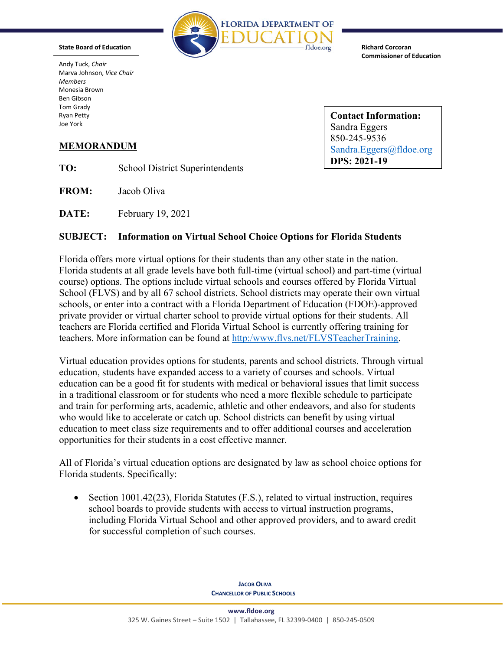

**Richard Corcoran Commissioner of Education** 

 Marva Johnson, *Vice Chair*  Andy Tuck, *Chair Members*  Monesia Brown Ben Gibson Tom Grady

**State Board of Education** 

Ryan Petty<br> **Contact Information:**<br> **Contact Information:**<br> **Contact Information:** Sandra Eggers 850-245-9536 **MEMORANDUM** Sandra.Eggers@fldoe.org **DPS: 2021-19**

**TO:** School District Superintendents

**FROM:** Jacob Oliva

**DATE:** February 19, 2021

# **SUBJECT: Information on Virtual School Choice Options for Florida Students**

Florida offers more virtual options for their students than any other state in the nation. Florida students at all grade levels have both full-time (virtual school) and part-time (virtual course) options. The options include virtual schools and courses offered by Florida Virtual School (FLVS) and by all 67 school districts. School districts may operate their own virtual schools, or enter into a contract with a Florida Department of Education (FDOE)-approved private provider or virtual charter school to provide virtual options for their students. All teachers are Florida certified and Florida Virtual School is currently offering training for teachers. More information can be found at [http:/www.flvs.net/FLVSTeacherTraining.](http://www.flvs.net/FLVSTeacherTraining)

 opportunities for their students in a cost effective manner. Virtual education provides options for students, parents and school districts. Through virtual education, students have expanded access to a variety of courses and schools. Virtual education can be a good fit for students with medical or behavioral issues that limit success in a traditional classroom or for students who need a more flexible schedule to participate and train for performing arts, academic, athletic and other endeavors, and also for students who would like to accelerate or catch up. School districts can benefit by using virtual education to meet class size requirements and to offer additional courses and acceleration

All of Florida's virtual education options are designated by law as school choice options for Florida students. Specifically:

• Section 1001.42(23), Florida Statutes (F.S.), related to virtual instruction, requires school boards to provide students with access to virtual instruction programs, including Florida Virtual School and other approved providers, and to award credit for successful completion of such courses.

> **JACOB OLIVA CHANCELLOR OF PUBLIC SCHOOLS**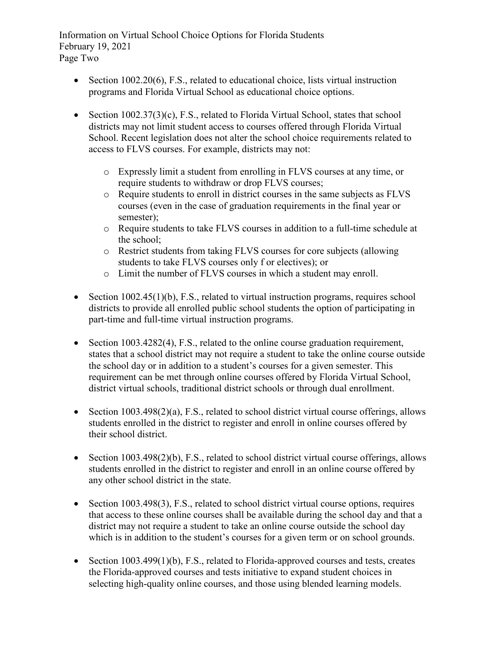Page TwoInformation on Virtual School Choice Options for Florida Students February 19, 2021

- Section  $1002.20(6)$ , F.S., related to educational choice, lists virtual instruction programs and Florida Virtual School as educational choice options.
- access to FLVS courses. For example, districts may not: • Section 1002.37(3)(c), F.S., related to Florida Virtual School, states that school districts may not limit student access to courses offered through Florida Virtual School. Recent legislation does not alter the school choice requirements related to
	- o Expressly limit a student from enrolling in FLVS courses at any time, or require students to withdraw or drop FLVS courses;
	- o Require students to enroll in district courses in the same subjects as FLVS courses (even in the case of graduation requirements in the final year or semester);
	- o Require students to take FLVS courses in addition to a full-time schedule at the school;
	- o Restrict students from taking FLVS courses for core subjects (allowing students to take FLVS courses only f or electives); or
	- o Limit the number of FLVS courses in which a student may enroll.
- Section 1002.45(1)(b), F.S., related to virtual instruction programs, requires school districts to provide all enrolled public school students the option of participating in part-time and full-time virtual instruction programs.
- requirement can be met through online courses offered by Florida Virtual School, • Section 1003.4282(4), F.S., related to the online course graduation requirement, states that a school district may not require a student to take the online course outside the school day or in addition to a student's courses for a given semester. This district virtual schools, traditional district schools or through dual enrollment.
- Section 1003.498(2)(a), F.S., related to school district virtual course offerings, allows students enrolled in the district to register and enroll in online courses offered by their school district.
- Section 1003.498(2)(b), F.S., related to school district virtual course offerings, allows students enrolled in the district to register and enroll in an online course offered by any other school district in the state.
- that access to these online courses shall be available during the school day and that a which is in addition to the student's courses for a given term or on school grounds. • Section 1003.498(3), F.S., related to school district virtual course options, requires district may not require a student to take an online course outside the school day
- Section 1003.499(1)(b), F.S., related to Florida-approved courses and tests, creates the Florida-approved courses and tests initiative to expand student choices in selecting high-quality online courses, and those using blended learning models.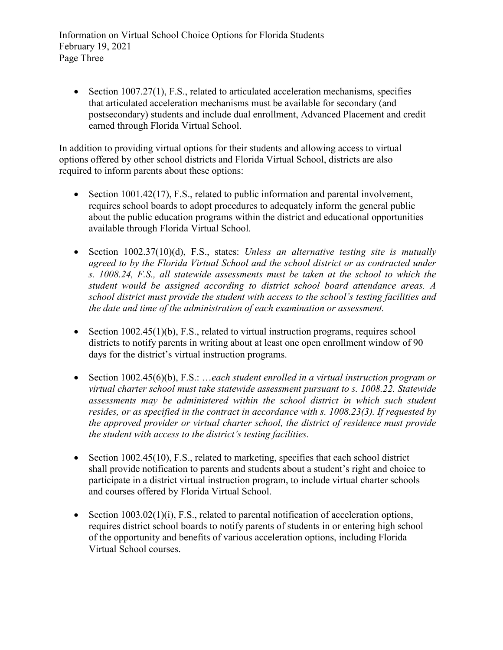Page Three Information on Virtual School Choice Options for Florida Students February 19, 2021

• Section  $1007.27(1)$ , F.S., related to articulated acceleration mechanisms, specifies that articulated acceleration mechanisms must be available for secondary (and postsecondary) students and include dual enrollment, Advanced Placement and credit earned through Florida Virtual School.

In addition to providing virtual options for their students and allowing access to virtual options offered by other school districts and Florida Virtual School, districts are also required to inform parents about these options:

- Section 1001.42(17), F.S., related to public information and parental involvement, requires school boards to adopt procedures to adequately inform the general public about the public education programs within the district and educational opportunities available through Florida Virtual School.
- Section 1002.37(10)(d), F.S., states: *Unless an alternative testing site is mutually agreed to by the Florida Virtual School and the school district or as contracted under s. 1008.24, F.S., all statewide assessments must be taken at the school to which the student would be assigned according to district school board attendance areas. A school district must provide the student with access to the school's testing facilities and the date and time of the administration of each examination or assessment.*
- Section 1002.45(1)(b), F.S., related to virtual instruction programs, requires school districts to notify parents in writing about at least one open enrollment window of 90 days for the district's virtual instruction programs.
- Section 1002.45(6)(b), F.S.: …*each student enrolled in a virtual instruction program or virtual charter school must take statewide assessment pursuant to s. 1008.22. Statewide assessments may be administered within the school district in which such student resides, or as specified in the contract in accordance with s. 1008.23(3). If requested by the approved provider or virtual charter school, the district of residence must provide the student with access to the district's testing facilities.*
- Section 1002.45(10), F.S., related to marketing, specifies that each school district shall provide notification to parents and students about a student's right and choice to participate in a district virtual instruction program, to include virtual charter schools and courses offered by Florida Virtual School.
- Section  $1003.02(1)(i)$ , F.S., related to parental notification of acceleration options, requires district school boards to notify parents of students in or entering high school of the opportunity and benefits of various acceleration options, including Florida Virtual School courses.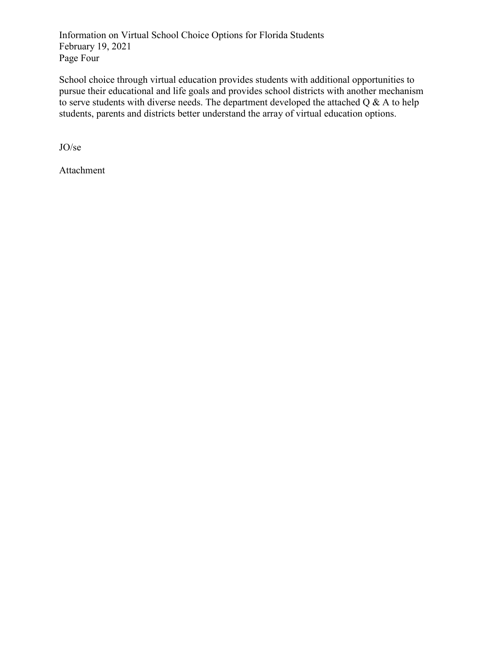Page Four Information on Virtual School Choice Options for Florida Students February 19, 2021

 pursue their educational and life goals and provides school districts with another mechanism School choice through virtual education provides students with additional opportunities to to serve students with diverse needs. The department developed the attached  $Q \& A$  to help students, parents and districts better understand the array of virtual education options.

JO/se

Attachment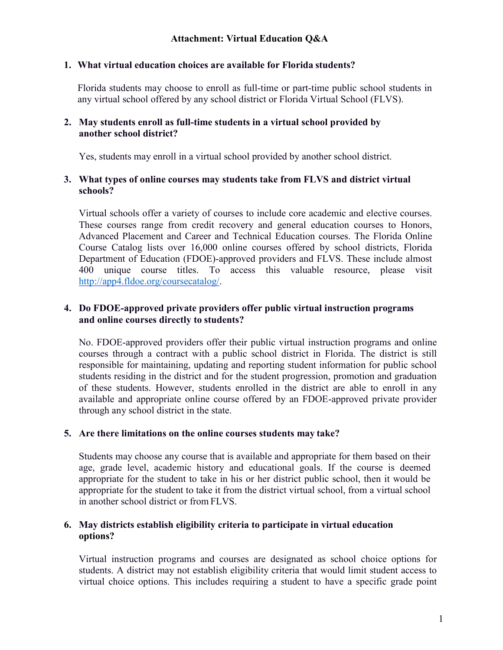#### **1. What virtual education choices are available for Florida students?**

Florida students may choose to enroll as full-time or part-time public school students in any virtual school offered by any school district or Florida Virtual School (FLVS).

#### **2. May students enroll as full-time students in a virtual school provided by another school district?**

Yes, students may enroll in a virtual school provided by another school district.

#### **3. What types of online courses may students take from FLVS and district virtual schools?**

 These courses range from credit recovery and general education courses to Honors, Virtual schools offer a variety of courses to include core academic and elective courses. Advanced Placement and Career and Technical Education courses. The Florida Online Course Catalog lists over 16,000 online courses offered by school districts, Florida Department of Education (FDOE)-approved providers and FLVS. These include almost 400 unique course titles. To access this valuable resource, please visit [http://app4.fldoe.org/coursecatalog/.](http://app4.fldoe.org/coursecatalog/)

# **and online courses directly to students? 4. Do FDOE-approved private providers offer public virtual instruction programs**

No. FDOE-approved providers offer their public virtual instruction programs and online courses through a contract with a public school district in Florida. The district is still responsible for maintaining, updating and reporting student information for public school students residing in the district and for the student progression, promotion and graduation of these students. However, students enrolled in the district are able to enroll in any available and appropriate online course offered by an FDOE-approved private provider through any school district in the state.

#### **5. Are there limitations on the online courses students may take?**

 Students may choose any course that is available and appropriate for them based on their appropriate for the student to take it from the district virtual school, from a virtual school in another school district or from FLVS. age, grade level, academic history and educational goals. If the course is deemed appropriate for the student to take in his or her district public school, then it would be

#### **6. May districts establish eligibility criteria to participate in virtual education options?**

Virtual instruction programs and courses are designated as school choice options for students. A district may not establish eligibility criteria that would limit student access to virtual choice options. This includes requiring a student to have a specific grade point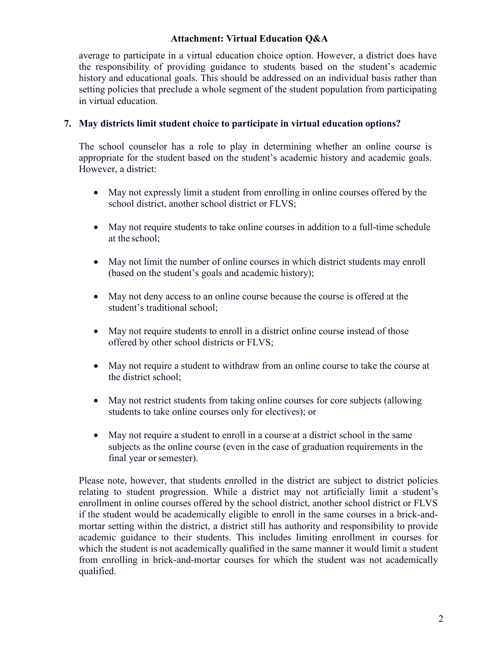#### **Attachment: Virtual Education Q&A**

average to participate in a virtual education choice option. However, a district does have the responsibility of providing guidance to students based on the student's academic history and educational goals. This should be addressed on an individual basis rather than setting policies that preclude a whole segment of the student population from participating in virtual education.

#### **7. May districts limit student choice to participate in virtual education options?**

The school counselor has a role to play in determining whether an online course is appropriate for the student based on the student's academic history and academic goals. However, a district:

- May not expressly limit a student from enrolling in online courses offered by the school district, another school district or FLVS;
- at the school; • May not require students to take online courses in addition to a full-time schedule
- May not limit the number of online courses in which district students may enroll (based on the student's goals and academic history);
- May not deny access to an online course because the course is offered at the student's traditional school;
- May not require students to enroll in a district online course instead of those offered by other school districts or FLVS;
- May not require a student to withdraw from an online course to take the course at the district school;
- May not restrict students from taking online courses for core subjects (allowing students to take online courses only for electives); or
- May not require a student to enroll in a course at a district school in the same subjects as the online course (even in the case of graduation requirements in the final year or semester).

Please note, however, that students enrolled in the district are subject to district policies relating to student progression. While a district may not artificially limit a student's enrollment in online courses offered by the school district, another school district or FLVS if the student would be academically eligible to enroll in the same courses in a brick-andmortar setting within the district, a district still has authority and responsibility to provide academic guidance to their students. This includes limiting enrollment in courses for which the student is not academically qualified in the same manner it would limit a student from enrolling in brick-and-mortar courses for which the student was not academically qualified.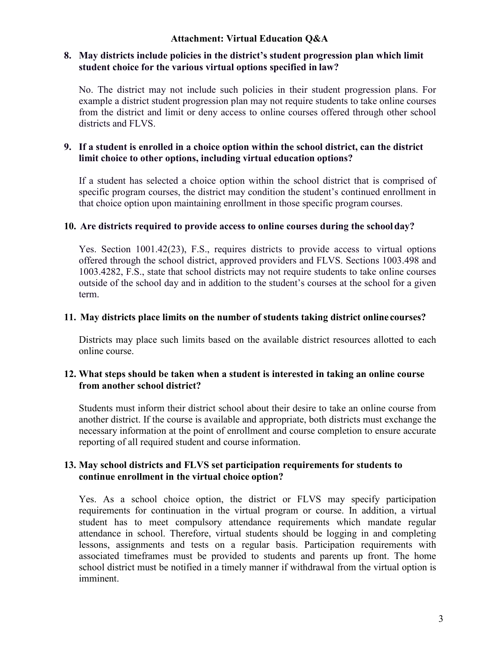#### **Attachment: Virtual Education Q&A**

#### **8. May districts include policies in the district's student progression plan which limit student choice for the various virtual options specified in law?**

No. The district may not include such policies in their student progression plans. For example a district student progression plan may not require students to take online courses from the district and limit or deny access to online courses offered through other school districts and FLVS.

## **9. If a student is enrolled in a choice option within the school district, can the district limit choice to other options, including virtual education options?**

 that choice option upon maintaining enrollment in those specific program courses. If a student has selected a choice option within the school district that is comprised of specific program courses, the district may condition the student's continued enrollment in

#### **10. Are districts required to provide access to online courses during the school day?**

Yes. Section 1001.42(23), F.S., requires districts to provide access to virtual options offered through the school district, approved providers and FLVS. Sections 1003.498 and 1003.4282, F.S., state that school districts may not require students to take online courses outside of the school day and in addition to the student's courses at the school for a given term.

# **11. May districts place limits on the number of students taking district online courses?**

Districts may place such limits based on the available district resources allotted to each online course.

# **from another school district? 12. What steps should be taken when a student is interested in taking an online course**

Students must inform their district school about their desire to take an online course from another district. If the course is available and appropriate, both districts must exchange the necessary information at the point of enrollment and course completion to ensure accurate reporting of all required student and course information.

# **continue enrollment in the virtual choice option? 13. May school districts and FLVS set participation requirements for students to**

 student has to meet compulsory attendance requirements which mandate regular Yes. As a school choice option, the district or FLVS may specify participation requirements for continuation in the virtual program or course. In addition, a virtual attendance in school. Therefore, virtual students should be logging in and completing lessons, assignments and tests on a regular basis. Participation requirements with associated timeframes must be provided to students and parents up front. The home school district must be notified in a timely manner if withdrawal from the virtual option is imminent.